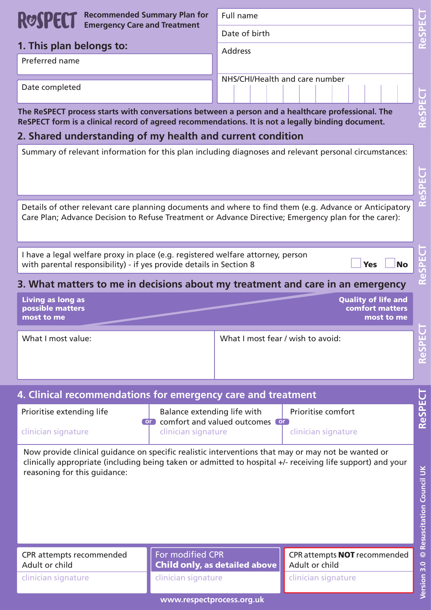|  | ROSPECT Recommended Summary Plan for<br>ROSPECT Emergency Care and Treatment |
|--|------------------------------------------------------------------------------|
|  |                                                                              |

| 1. This plan belongs to: |  |  |  |  |
|--------------------------|--|--|--|--|
|--------------------------|--|--|--|--|

Preferred name

Full name

Date of birth

Address

NHS/CHI/Health and care number

Date completed

**The ReSPECT process starts with conversations between a person and a healthcare professional. The ReSPECT form is a clinical record of agreed recommendations. It is not a legally binding document.**

### **2. Shared understanding of my health and current condition**

Summary of relevant information for this plan including diagnoses and relevant personal circumstances:

| Details of other relevant care planning documents and where to find them (e.g. Advance or Anticipatory |  |
|--------------------------------------------------------------------------------------------------------|--|
| Care Plan; Advance Decision to Refuse Treatment or Advance Directive; Emergency plan for the carer):   |  |

I have a legal welfare proxy in place (e.g. registered welfare attorney, person with parental responsibility) - if yes provide details in Section 8 - 1990 - 1990 <mark>- 1</mark>

--Yes No

## **3. What matters to me in decisions about my treatment and care in an emergency**

| <b>Living as long as</b> | <b>Quality of life and</b> |
|--------------------------|----------------------------|
| <b>possible matters</b>  | <b>comfort matters</b>     |
| most to me               | most to me                 |

What I most value: What I most fear / wish to avoid:

| 4. Clinical recommendations for emergency care and treatment |                                                                                |                     |  |
|--------------------------------------------------------------|--------------------------------------------------------------------------------|---------------------|--|
| Prioritise extending life                                    | Balance extending life with<br><b>CO</b> comfort and valued outcomes <b>CO</b> | Prioritise comfort  |  |
| clinician signature                                          | clinician signature                                                            | clinician signature |  |

Now provide clinical guidance on specific realistic interventions that may or may not be wanted or clinically appropriate (including being taken or admitted to hospital +/- receiving life support) and your reasoning for this guidance:

CPR attempts recommended Adult or child

clinician signature

For modified CPR Child only, as detailed above clinician signature

CPR attempts NOT recommended Adult or child

clinician signature

**www.respectprocess.org.uk**

ReSPECT

ReSPECT

ReSPECT